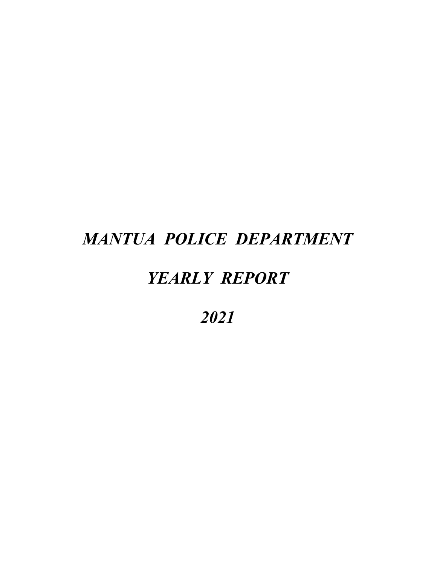# *YEARLY REPORT*

*2021*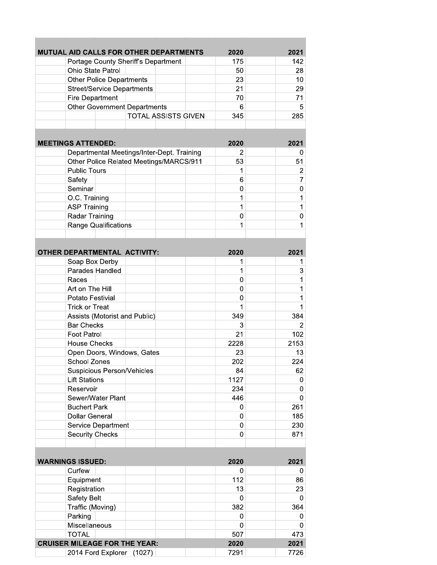| MUTUAL AID CALLS FOR OTHER DEPARTMENTS |                                            | 2020 | 2021            |
|----------------------------------------|--------------------------------------------|------|-----------------|
| Portage County Sheriff's Department    |                                            | 175  | 142             |
| <b>Ohio State Patrol</b>               |                                            | 50   | 28              |
| <b>Other Police Departments</b>        |                                            | 23   | 10 <sup>1</sup> |
| <b>Street/Service Departments</b>      |                                            | 21   | 29              |
| <b>Fire Department</b>                 |                                            | 70   | 71              |
| <b>Other Government Departments</b>    |                                            | 6    | 5               |
|                                        | <b>TOTAL ASSISTS GIVEN</b>                 | 345  | 285             |
|                                        |                                            |      |                 |
|                                        |                                            |      |                 |
| <b>MEETINGS ATTENDED:</b>              |                                            | 2020 | 2021            |
|                                        | Departmental Meetings/Inter-Dept. Training | 2    | $\overline{0}$  |
|                                        | Other Police Related Meetings/MARCS/911    | 53   | 51              |
| <b>Public Tours</b>                    |                                            | 1    | $\overline{2}$  |
| Safety                                 |                                            | 6    | $\overline{7}$  |
| Seminar                                |                                            | 0    | 0               |
| O.C. Training                          |                                            | 1    | 1               |
| <b>ASP Training</b>                    |                                            | 1    | 1               |
| Radar Training                         |                                            | 0    | 0               |
| <b>Range Qualifications</b>            |                                            | 1    | 1               |
|                                        |                                            |      |                 |
|                                        |                                            |      |                 |
| OTHER DEPARTMENTAL ACTIVITY:           |                                            | 2020 | 2021            |
| Soap Box Derby                         |                                            | 1    | 1               |
| Parades Handled                        |                                            | 1    | 3               |
| Races                                  |                                            | 0    | 1               |
| Art on The Hill                        |                                            | 0    | 1               |
| Potato Festivial                       |                                            | 0    | 1               |
| <b>Trick or Treat</b>                  |                                            | 1    | 1.              |
| Assists (Motorist and Public)          |                                            | 349  | 384             |
| <b>Bar Checks</b>                      |                                            | 3    | $\overline{2}$  |
| <b>Foot Patrol</b>                     |                                            | 21   | 102             |
| <b>House Checks</b>                    |                                            | 2228 | 2153            |
| Open Doors, Windows, Gates             |                                            | 23   | 13              |
| School Zones                           |                                            | 202  | 224             |
| Suspicious Person/Vehicles             |                                            | 84   | 62              |
| <b>Lift Stations</b>                   |                                            | 1127 | 0               |
| Reservoir                              |                                            | 234  | 0               |
| Sewer/Water Plant                      |                                            | 446  | 0               |
| <b>Buchert Park</b>                    |                                            | 0    | 261             |
| <b>Dollar General</b>                  |                                            | 0    | 185             |
| Service Department                     |                                            | 0    | 230             |
| <b>Security Checks</b>                 |                                            | 0    | 871             |
|                                        |                                            |      |                 |
|                                        |                                            |      |                 |
| <b>WARNINGS ISSUED:</b>                |                                            | 2020 | 2021            |
| Curfew                                 |                                            | 0    | 0               |
| Equipment                              |                                            | 112  | 86              |
| Registration                           |                                            | 13   | 23              |
| Safety Belt                            |                                            | 0    | 0               |
| Traffic (Moving)                       |                                            | 382  | 364             |
| Parking                                |                                            | 0    | 0               |
| Miscellaneous                          |                                            | 0    | 0               |
| <b>TOTAL</b>                           |                                            | 507  | 473             |
| <b>CRUISER MILEAGE FOR THE YEAR:</b>   |                                            | 2020 | 2021            |
| 2014 Ford Explorer (1027)              |                                            | 7291 | 7726            |
|                                        |                                            |      |                 |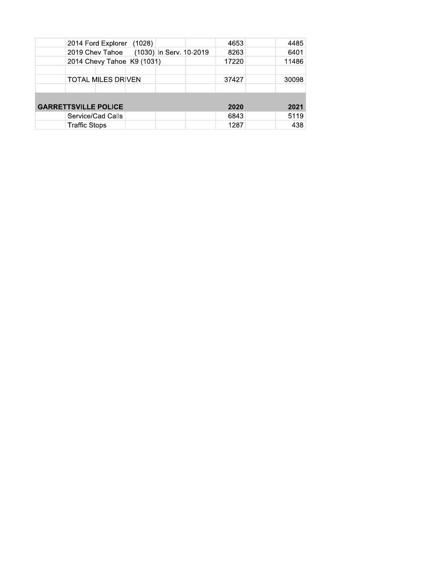| 2014 Ford Explorer (1028)               | 4653  | 4485  |
|-----------------------------------------|-------|-------|
| 2019 Chev Tahoe (1030) In Serv. 10-2019 | 8263  | 6401  |
| 2014 Chevy Tahoe K9 (1031)              | 17220 | 11486 |
|                                         |       |       |
| <b>TOTAL MILES DRIVEN</b>               | 37427 | 30098 |
|                                         |       |       |
|                                         |       |       |
| <b>GARRETTSVILLE POLICE</b>             | 2020  | 2021  |
| Service/Cad Calls                       | 6843  | 5119  |
| <b>Traffic Stops</b>                    | 1287  | 438   |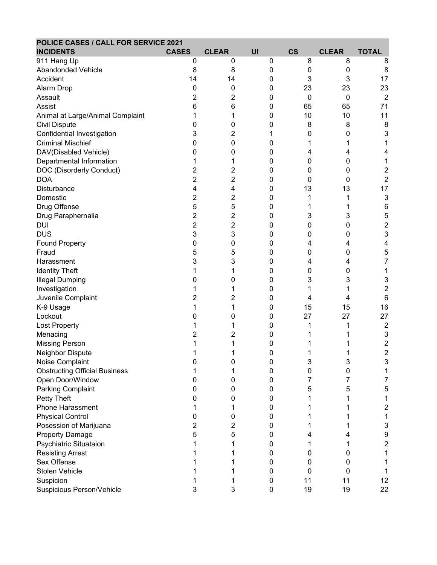| POLICE CASES / CALL FOR SERVICE 2021 |                |                |    |             |              |                         |
|--------------------------------------|----------------|----------------|----|-------------|--------------|-------------------------|
| <b>INCIDENTS</b>                     | <b>CASES</b>   | <b>CLEAR</b>   | UI | <b>CS</b>   | <b>CLEAR</b> | <b>TOTAL</b>            |
| 911 Hang Up                          | 0              | 0              | 0  | 8           | 8            | 8                       |
| Abandonded Vehicle                   | 8              | 8              | 0  | 0           | 0            | 8                       |
| Accident                             | 14             | 14             | 0  | 3           | 3            | 17                      |
| Alarm Drop                           | 0              | 0              | 0  | 23          | 23           | 23                      |
| Assault                              | 2              | 2              | 0  | $\mathbf 0$ | $\mathbf 0$  | $\overline{2}$          |
| Assist                               | 6              | 6              | 0  | 65          | 65           | 71                      |
| Animal at Large/Animal Complaint     | 1              | 1              | 0  | 10          | 10           | 11                      |
| Civil Dispute                        | 0              | 0              | 0  | 8           | 8            | 8                       |
| Confidential Investigation           | 3              | $\overline{c}$ | 1  | 0           | 0            | 3                       |
| <b>Criminal Mischief</b>             | 0              | 0              | 0  | 1           | 1            | 1                       |
| DAV(Disabled Vehicle)                | 0              | 0              | 0  | 4           | 4            | 4                       |
| Departmental Information             | 1              | 1              | 0  | 0           | 0            | 1                       |
| DOC (Disorderly Conduct)             | $\overline{c}$ | $\overline{c}$ | 0  | 0           | 0            | $\overline{\mathbf{c}}$ |
| <b>DOA</b>                           | 2              | 2              | 0  | 0           | 0            | $\overline{c}$          |
| Disturbance                          | 4              | 4              | 0  | 13          | 13           | 17                      |
| Domestic                             | 2              | 2              | 0  |             |              | $\mathbf{3}$            |
| Drug Offense                         | 5              | 5              | 0  |             |              | 6                       |
| Drug Paraphernalia                   | 2              | 2              | 0  | 3           | 3            | 5                       |
| <b>DUI</b>                           | 2              | 2              | 0  | 0           | 0            | 2                       |
| <b>DUS</b>                           | 3              | 3              | 0  | 0           | 0            | 3                       |
| <b>Found Property</b>                | 0              | 0              | 0  | 4           | 4            | 4                       |
| Fraud                                | 5              | 5              | 0  | 0           | 0            | 5                       |
| Harassment                           | 3              | 3              | 0  | 4           | 4            | 7                       |
| <b>Identity Theft</b>                | 1              | 1              | 0  | 0           | 0            | 1                       |
| <b>Illegal Dumping</b>               | 0              | 0              | 0  | 3           | 3            | 3                       |
| Investigation                        |                | 1              | 0  |             |              | $\overline{\mathbf{c}}$ |
| Juvenile Complaint                   | 2              | 2              | 0  | 4           | 4            | 6                       |
| K-9 Usage                            | 1              | 1              | 0  | 15          | 15           | 16                      |
| Lockout                              | 0              | 0              | 0  | 27          | 27           | 27                      |
| <b>Lost Property</b>                 |                | 1              | 0  | 1           |              | $\overline{c}$          |
| Menacing                             | 2              | 2              | 0  |             |              | 3                       |
| <b>Missing Person</b>                | 1              | 1              | 0  |             |              | $\boldsymbol{2}$        |
| Neighbor Dispute                     | 1              | 1              | 0  | 1           |              | $\overline{\mathbf{c}}$ |
| Noise Complaint                      | U              | O              | U  | 3           | 3            | 3                       |
| <b>Obstructing Official Business</b> |                |                | 0  | 0           | 0            |                         |
| Open Door/Window                     | 0              | 0              | 0  |             |              | 7                       |
| Parking Complaint                    | 0              | 0              | 0  | 5           | 5            | 5                       |
| Petty Theft                          | 0              | 0              | 0  |             |              |                         |
| Phone Harassment                     |                |                | 0  |             |              | 2                       |
| <b>Physical Control</b>              | 0              | 0              | 0  |             |              |                         |
| Posession of Marijuana               | 2              | 2              | 0  |             |              | 3                       |
| Property Damage                      | 5              | 5              | 0  |             |              | 9                       |
| Psychiatric Situataion               |                |                | 0  |             |              | $\overline{\mathbf{c}}$ |
| <b>Resisting Arrest</b>              |                |                | 0  | 0           | 0            |                         |
| Sex Offense                          |                |                | 0  | 0           | 0            |                         |
| Stolen Vehicle                       |                |                | 0  | 0           | 0            |                         |
| Suspicion                            |                |                | 0  | 11          | 11           | 12                      |
| Suspicious Person/Vehicle            | 3              | 3              | 0  | 19          | 19           | 22                      |
|                                      |                |                |    |             |              |                         |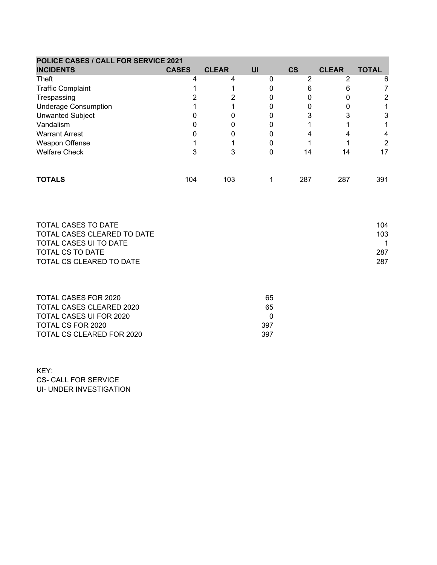| POLICE CASES / CALL FOR SERVICE 2021 |              |              |    |               |              |              |
|--------------------------------------|--------------|--------------|----|---------------|--------------|--------------|
| <b>INCIDENTS</b>                     | <b>CASES</b> | <b>CLEAR</b> | UI | $\mathsf{cs}$ | <b>CLEAR</b> | <b>TOTAL</b> |
| Theft                                |              |              |    | 2             | າ            | 6            |
| <b>Traffic Complaint</b>             |              |              |    |               |              |              |
| Trespassing                          |              |              |    |               |              | 2            |
| <b>Underage Consumption</b>          |              |              |    |               |              |              |
| <b>Unwanted Subject</b>              |              |              |    |               |              | 3            |
| Vandalism                            |              |              |    |               |              |              |
| <b>Warrant Arrest</b>                |              |              |    |               |              | 4            |
| Weapon Offense                       |              |              |    |               |              | 2            |
| <b>Welfare Check</b>                 |              |              |    | 14            | 14           | 17           |
| <b>TOTALS</b>                        | 104          | 103          |    | 287           | 287          | 391          |

| TOTAL CASES TO DATE         | 104 |
|-----------------------------|-----|
| TOTAL CASES CLEARED TO DATE | 103 |
| TOTAL CASES UI TO DATE      |     |
| TOTAL CS TO DATE            | 287 |
| TOTAL CS CLEARED TO DATE    | 287 |
|                             |     |

| TOTAL CASES FOR 2020      | 65.  |
|---------------------------|------|
| TOTAL CASES CLEARED 2020  | 65.  |
| TOTAL CASES UI FOR 2020   |      |
| TOTAL CS FOR 2020         | 397. |
| TOTAL CS CLEARED FOR 2020 | 397. |

KEY: CS- CALL FOR SERVICE UI- UNDER INVESTIGATION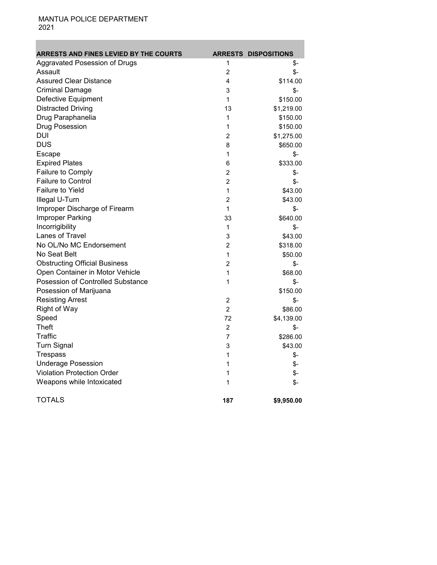Ė ٠

| <b>ARRESTS AND FINES LEVIED BY THE COURTS</b> |                | <b>ARRESTS DISPOSITIONS</b> |
|-----------------------------------------------|----------------|-----------------------------|
| Aggravated Posession of Drugs                 | 1              | \$-                         |
| Assault                                       | 2              | \$-                         |
| <b>Assured Clear Distance</b>                 | 4              | \$114.00                    |
| <b>Criminal Damage</b>                        | 3              | \$-                         |
| Defective Equipment                           | 1              | \$150.00                    |
| <b>Distracted Driving</b>                     | 13             | \$1,219.00                  |
| Drug Paraphanelia                             | 1              | \$150.00                    |
| Drug Posession                                | 1              | \$150.00                    |
| <b>DUI</b>                                    | $\overline{2}$ | \$1,275.00                  |
| <b>DUS</b>                                    | 8              | \$650.00                    |
| Escape                                        | 1              | $$-$                        |
| <b>Expired Plates</b>                         | 6              | \$333.00                    |
| Failure to Comply                             | 2              | \$-                         |
| <b>Failure to Control</b>                     | 2              | \$-                         |
| <b>Failure to Yield</b>                       | 1              | \$43.00                     |
| Illegal U-Turn                                | 2              | \$43.00                     |
| Improper Discharge of Firearm                 | 1              | \$-                         |
| Improper Parking                              | 33             | \$640.00                    |
| Incorrigibility                               | 1              | \$-                         |
| Lanes of Travel                               | 3              | \$43.00                     |
| No OL/No MC Endorsement                       | 2              | \$318.00                    |
| No Seat Belt                                  | 1              | \$50.00                     |
| <b>Obstructing Official Business</b>          | 2              | \$-                         |
| Open Container in Motor Vehicle               | 1              | \$68.00                     |
| Posession of Controlled Substance             | 1              | \$-                         |
| Posession of Marijuana                        |                | \$150.00                    |
| <b>Resisting Arrest</b>                       | 2              | $\frac{2}{3}$               |
| Right of Way                                  | $\overline{2}$ | \$86.00                     |
| Speed                                         | 72             | \$4,139.00                  |
| <b>Theft</b>                                  | 2              | \$-                         |
| Traffic                                       | 7              | \$286.00                    |
| <b>Turn Signal</b>                            | 3              | \$43.00                     |
| Trespass                                      | 1              | \$-                         |
| <b>Underage Posession</b>                     | 1              | \$-                         |
| <b>Violation Protection Order</b>             | 1              | \$-                         |
| Weapons while Intoxicated                     | 1              | \$-                         |
| <b>TOTALS</b>                                 | 187            | \$9,950.00                  |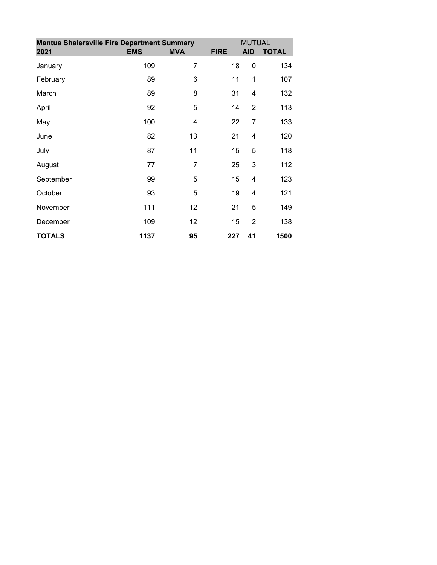| <b>Mantua Shalersville Fire Department Summary</b> |            | <b>MUTUAL</b> |             |                |              |
|----------------------------------------------------|------------|---------------|-------------|----------------|--------------|
| 2021                                               | <b>EMS</b> | <b>MVA</b>    | <b>FIRE</b> | <b>AID</b>     | <b>TOTAL</b> |
| January                                            | 109        | 7             | 18          | 0              | 134          |
| February                                           | 89         | 6             | 11          | 1              | 107          |
| March                                              | 89         | 8             | 31          | 4              | 132          |
| April                                              | 92         | 5             | 14          | $\overline{2}$ | 113          |
| May                                                | 100        | 4             | 22          | $\overline{7}$ | 133          |
| June                                               | 82         | 13            | 21          | $\overline{4}$ | 120          |
| July                                               | 87         | 11            | 15          | 5              | 118          |
| August                                             | 77         | 7             | 25          | 3              | 112          |
| September                                          | 99         | 5             | 15          | 4              | 123          |
| October                                            | 93         | 5             | 19          | $\overline{4}$ | 121          |
| November                                           | 111        | 12            | 21          | 5              | 149          |
| December                                           | 109        | 12            | 15          | $\overline{2}$ | 138          |
| <b>TOTALS</b>                                      | 1137       | 95            | 227         | 41             | 1500         |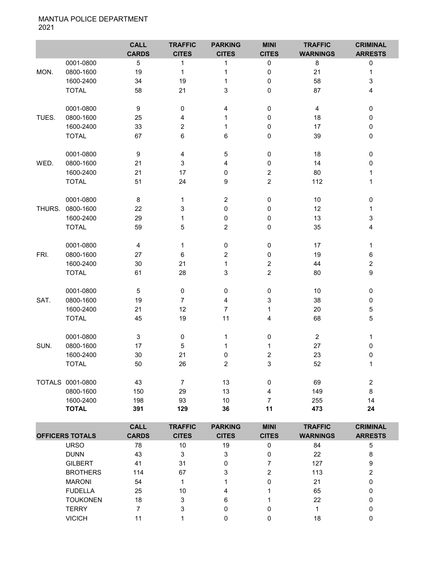|        |                  | <b>CALL</b><br><b>CARDS</b> | <b>TRAFFIC</b><br><b>CITES</b> | <b>PARKING</b><br><b>CITES</b> | <b>MINI</b><br><b>CITES</b> | <b>TRAFFIC</b><br><b>WARNINGS</b> | <b>CRIMINAL</b><br><b>ARRESTS</b> |
|--------|------------------|-----------------------------|--------------------------------|--------------------------------|-----------------------------|-----------------------------------|-----------------------------------|
|        | 0001-0800        | $\overline{5}$              | 1                              | 1                              | 0                           | 8                                 | $\pmb{0}$                         |
| MON.   | 0800-1600        | 19                          | 1                              | $\mathbf{1}$                   | 0                           | 21                                | $\mathbf 1$                       |
|        | 1600-2400        | 34                          | 19                             | 1                              | $\pmb{0}$                   | 58                                | 3                                 |
|        | <b>TOTAL</b>     | 58                          | 21                             | 3                              | $\pmb{0}$                   | 87                                | 4                                 |
|        | 0001-0800        | 9                           | 0                              | 4                              | $\pmb{0}$                   | 4                                 | $\mathbf 0$                       |
| TUES.  | 0800-1600        | 25                          | 4                              | 1                              | $\mathbf 0$                 | 18                                | $\mathbf 0$                       |
|        | 1600-2400        | 33                          | 2                              | 1                              | $\pmb{0}$                   | 17                                | 0                                 |
|        | <b>TOTAL</b>     | 67                          | 6                              | 6                              | $\mathbf 0$                 | 39                                | $\pmb{0}$                         |
|        | 0001-0800        | 9                           | 4                              | $\mathbf 5$                    | $\pmb{0}$                   | 18                                | $\pmb{0}$                         |
| WED.   | 0800-1600        | 21                          | 3                              | 4                              | $\pmb{0}$                   | 14                                | 0                                 |
|        | 1600-2400        | 21                          | 17                             | 0                              | $\overline{c}$              | 80                                | 1                                 |
|        | <b>TOTAL</b>     | 51                          | 24                             | 9                              | $\overline{c}$              | 112                               | 1                                 |
|        | 0001-0800        | 8                           | 1                              | $\overline{2}$                 | $\pmb{0}$                   | 10                                | $\pmb{0}$                         |
| THURS. | 0800-1600        | 22                          | 3                              | $\pmb{0}$                      | 0                           | 12                                | 1                                 |
|        | 1600-2400        | 29                          | 1                              | 0                              | 0                           | 13                                | 3                                 |
|        | <b>TOTAL</b>     | 59                          | 5                              | $\overline{c}$                 | $\pmb{0}$                   | 35                                | 4                                 |
|        | 0001-0800        | 4                           | 1                              | $\pmb{0}$                      | $\pmb{0}$                   | 17                                | $\mathbf{1}$                      |
| FRI.   | 0800-1600        | 27                          | 6                              | 2                              | $\pmb{0}$                   | 19                                | $\,6\,$                           |
|        | 1600-2400        | 30                          | 21                             | 1                              | $\overline{c}$              | 44                                | $\overline{c}$                    |
|        | <b>TOTAL</b>     | 61                          | 28                             | 3                              | $\overline{2}$              | 80                                | $\boldsymbol{9}$                  |
|        | 0001-0800        | $\overline{5}$              | $\pmb{0}$                      | $\pmb{0}$                      | $\pmb{0}$                   | 10                                | $\pmb{0}$                         |
| SAT.   | 0800-1600        | 19                          | $\overline{7}$                 | 4                              | 3                           | 38                                | $\pmb{0}$                         |
|        | 1600-2400        | 21                          | 12                             | $\overline{7}$                 | 1                           | 20                                | $\sqrt{5}$                        |
|        | <b>TOTAL</b>     | 45                          | 19                             | 11                             | 4                           | 68                                | $\mathbf 5$                       |
|        | 0001-0800        | $\ensuremath{\mathsf{3}}$   | 0                              | 1                              | $\pmb{0}$                   | $\overline{2}$                    | 1                                 |
| SUN.   | 0800-1600        | 17                          | 5                              | 1                              | 1                           | 27                                | 0                                 |
|        | 1600-2400        | 30                          | 21                             | $\mathbf 0$                    | $\boldsymbol{2}$            | 23                                | 0                                 |
|        | <b>TOTAL</b>     | 50                          | 26                             | $\overline{2}$                 | 3                           | 52                                | 1                                 |
|        | TOTALS 0001-0800 | 43                          | $\overline{7}$                 | 13                             | $\pmb{0}$                   | 69                                | $\boldsymbol{2}$                  |
|        | 0800-1600        | 150                         | 29                             | 13                             | $\overline{4}$              | 149                               | 8                                 |
|        | 1600-2400        | 198                         | 93                             | $10$                           | $\overline{7}$              | 255                               | 14                                |
|        | <b>TOTAL</b>     | 391                         | 129                            | 36                             | 11                          | 473                               | 24                                |

|                        | <b>CALL</b>  | <b>TRAFFIC</b> | <b>PARKING</b> | <b>MINI</b>  | <b>TRAFFIC</b>  | <b>CRIMINAL</b> |
|------------------------|--------------|----------------|----------------|--------------|-----------------|-----------------|
| <b>OFFICERS TOTALS</b> | <b>CARDS</b> | <b>CITES</b>   | <b>CITES</b>   | <b>CITES</b> | <b>WARNINGS</b> | <b>ARRESTS</b>  |
| <b>URSO</b>            | 78           | 10             | 19             | 0            | 84              | 5               |
| <b>DUNN</b>            | 43           | 3              | 3              |              | 22              | 8               |
| <b>GILBERT</b>         | 41           | 31             |                |              | 127             | 9               |
| <b>BROTHERS</b>        | 114          | 67             | 3              | 2            | 113             |                 |
| <b>MARONI</b>          | 54           |                |                |              | 21              | 0               |
| <b>FUDELLA</b>         | 25           | 10             | 4              |              | 65              | 0               |
| <b>TOUKONEN</b>        | 18           | 3              | 6              |              | 22              | 0               |
| <b>TERRY</b>           |              | 3              |                | 0            |                 |                 |
| <b>VICICH</b>          |              |                |                |              | 18              |                 |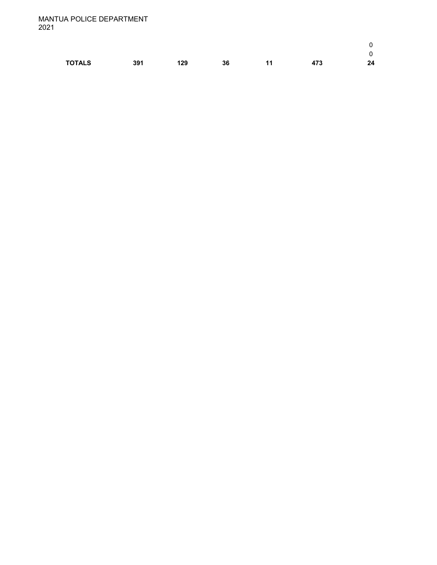| <b>TOTALS</b> | 391 | 129 | 36 | 11 | 473 | 24 |
|---------------|-----|-----|----|----|-----|----|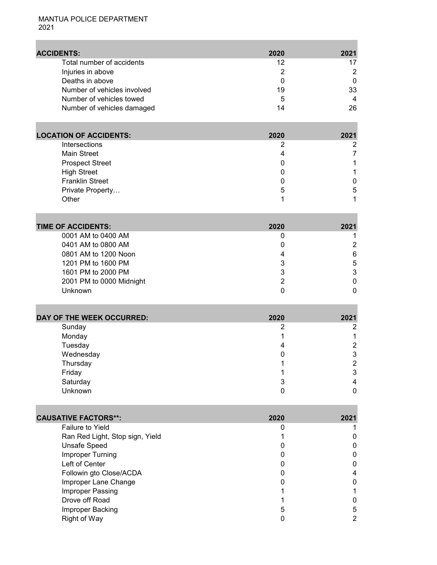П

| <b>ACCIDENTS:</b>           | 2020 | 2021 |
|-----------------------------|------|------|
| Total number of accidents   | 12   |      |
| Injuries in above           |      |      |
| Deaths in above             |      | 0    |
| Number of vehicles involved | 19   | 33   |
| Number of vehicles towed    | 5    | 4    |
| Number of vehicles damaged  | 14   | 26   |

| <b>LOCATION OF ACCIDENTS:</b> | 2020 | 2021 |
|-------------------------------|------|------|
| <b>Intersections</b>          |      | 2    |
| <b>Main Street</b>            |      |      |
| <b>Prospect Street</b>        |      |      |
| <b>High Street</b>            |      |      |
| <b>Franklin Street</b>        |      | 0    |
| Private Property              | 5    | 5    |
| Other                         |      |      |

| <b>TIME OF ACCIDENTS:</b> | 2020 | 2021 |
|---------------------------|------|------|
| 0001 AM to 0400 AM        |      |      |
| 0401 AM to 0800 AM        |      |      |
| 0801 AM to 1200 Noon      |      | 6    |
| 1201 PM to 1600 PM        |      | 5    |
| 1601 PM to 2000 PM        |      | 3    |
| 2001 PM to 0000 Midnight  |      |      |
| Unknown                   |      |      |

| DAY OF THE WEEK OCCURRED: | 2020 | 2021 |
|---------------------------|------|------|
| Sunday                    |      |      |
| Monday                    |      |      |
| Tuesday                   |      | ◠    |
| Wednesday                 |      | 3    |
| Thursday                  |      | ⌒    |
| Friday                    |      | 3    |
| Saturday                  |      |      |
| Unknown                   |      |      |

and the control of the control of

| <b>CAUSATIVE FACTORS**:</b>     | 2020 | 2021 |
|---------------------------------|------|------|
| <b>Failure to Yield</b>         |      |      |
| Ran Red Light, Stop sign, Yield |      | O    |
| Unsafe Speed                    |      | O    |
| Improper Turning                |      | 0    |
| Left of Center                  |      | O    |
| Followin gto Close/ACDA         |      | 4    |
| Improper Lane Change            |      | O    |
| Improper Passing                |      |      |
| Drove off Road                  |      | O    |
| Improper Backing                | 5    | 5    |
| Right of Way                    |      | ר    |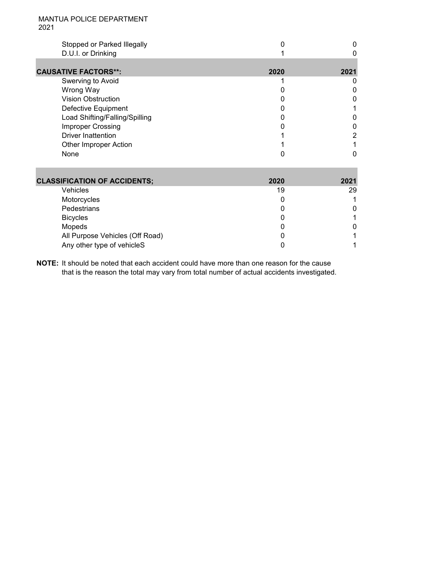| Stopped or Parked Illegally    |      |      |
|--------------------------------|------|------|
| D.U.I. or Drinking             |      |      |
|                                |      |      |
| <b>CAUSATIVE FACTORS**:</b>    | 2020 | 2021 |
| Swerving to Avoid              |      |      |
| Wrong Way                      |      |      |
| <b>Vision Obstruction</b>      |      |      |
| Defective Equipment            |      |      |
| Load Shifting/Falling/Spilling |      |      |
| <b>Improper Crossing</b>       |      |      |
| <b>Driver Inattention</b>      |      |      |
| <b>Other Improper Action</b>   |      |      |
| None                           |      |      |

| <b>CLASSIFICATION OF ACCIDENTS;</b> | 2020 | 2021 |
|-------------------------------------|------|------|
| Vehicles                            | 19   | 29   |
| Motorcycles                         |      |      |
| Pedestrians                         |      |      |
| <b>Bicycles</b>                     |      |      |
| Mopeds                              |      |      |
| All Purpose Vehicles (Off Road)     |      |      |
| Any other type of vehicleS          |      |      |

**NOTE:** It should be noted that each accident could have more than one reason for the cause that is the reason the total may vary from total number of actual accidents investigated.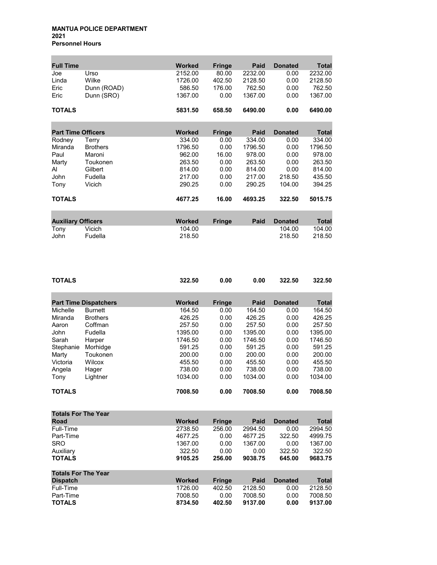#### **MANTUA POLICE DEPARTMENT 2021 Personnel Hours**

| <b>Full Time</b>          |                 | <b>Worked</b> | <b>Fringe</b> | Paid    | <b>Donated</b> | <b>Total</b> |
|---------------------------|-----------------|---------------|---------------|---------|----------------|--------------|
| Joe                       | Urso            | 2152.00       | 80.00         | 2232.00 | 0.00           | 2232.00      |
| Linda                     | Wilke           | 1726.00       | 402.50        | 2128.50 | 0.00           | 2128.50      |
| Eric                      | Dunn (ROAD)     | 586.50        | 176.00        | 762.50  | 0.00           | 762.50       |
| Eric                      | Dunn (SRO)      | 1367.00       | 0.00          | 1367.00 | 0.00           | 1367.00      |
| <b>TOTALS</b>             |                 | 5831.50       | 658.50        | 6490.00 | 0.00           | 6490.00      |
| <b>Part Time Officers</b> |                 | <b>Worked</b> | <b>Fringe</b> | Paid    | <b>Donated</b> | <b>Total</b> |
| Rodney                    | Terry           | 334.00        | 0.00          | 334.00  | 0.00           | 334.00       |
| Miranda                   | <b>Brothers</b> | 1796.50       | 0.00          | 1796.50 | 0.00           | 1796.50      |
| Paul                      | Maroni          | 962.00        | 16.00         | 978.00  | 0.00           | 978.00       |
| Marty                     | Toukonen        | 263.50        | 0.00          | 263.50  | 0.00           | 263.50       |
| AI                        | Gilbert         | 814.00        | 0.00          | 814.00  | 0.00           | 814.00       |
| John                      | Fudella         | 217.00        | 0.00          | 217.00  | 218.50         | 435.50       |
|                           | Vicich          | 290.25        |               | 290.25  | 104.00         | 394.25       |
| Tony                      |                 |               | 0.00          |         |                |              |
| <b>TOTALS</b>             |                 | 4677.25       | 16.00         | 4693.25 | 322.50         | 5015.75      |
|                           |                 |               |               |         |                |              |
| <b>Auxiliary Officers</b> |                 | <b>Worked</b> | <b>Fringe</b> | Paid    | <b>Donated</b> | <b>Total</b> |
| Tony                      | Vicich          | 104.00        |               |         | 104.00         | 104.00       |
| John                      | Fudella         | 218.50        |               |         | 218.50         | 218.50       |

| <b>TOTALS</b>              |                              | 322.50        | 0.00          | 0.00    | 322.50         | 322.50  |
|----------------------------|------------------------------|---------------|---------------|---------|----------------|---------|
|                            |                              | <b>Worked</b> |               | Paid    |                |         |
|                            | <b>Part Time Dispatchers</b> |               | <b>Fringe</b> |         | <b>Donated</b> | Total   |
| Michelle                   | <b>Burnett</b>               | 164.50        | 0.00          | 164.50  | 0.00           | 164.50  |
| Miranda                    | <b>Brothers</b>              | 426.25        | 0.00          | 426.25  | 0.00           | 426.25  |
| Aaron                      | Coffman                      | 257.50        | 0.00          | 257.50  | 0.00           | 257.50  |
| John                       | Fudella                      | 1395.00       | 0.00          | 1395.00 | 0.00           | 1395.00 |
| Sarah                      | Harper                       | 1746.50       | 0.00          | 1746.50 | 0.00           | 1746.50 |
| Stephanie                  | Morhidge                     | 591.25        | 0.00          | 591.25  | 0.00           | 591.25  |
| Marty                      | Toukonen                     | 200.00        | 0.00          | 200.00  | 0.00           | 200.00  |
| Victoria                   | Wilcox                       | 455.50        | 0.00          | 455.50  | 0.00           | 455.50  |
| Angela                     | Hager                        | 738.00        | 0.00          | 738.00  | 0.00           | 738.00  |
| Tony                       | Lightner                     | 1034.00       | 0.00          | 1034.00 | 0.00           | 1034.00 |
| <b>TOTALS</b>              |                              | 7008.50       | 0.00          | 7008.50 | 0.00           | 7008.50 |
| <b>Totals For The Year</b> |                              |               |               |         |                |         |

| Road                       | <b>Worked</b> | <b>Fringe</b> | Paid    | <b>Donated</b> | <b>Total</b> |
|----------------------------|---------------|---------------|---------|----------------|--------------|
| Full-Time                  | 2738.50       | 256.00        | 2994.50 | 0.00           | 2994.50      |
| Part-Time                  | 4677.25       | 0.00          | 4677.25 | 322.50         | 4999.75      |
| <b>SRO</b>                 | 1367.00       | 0.00          | 1367.00 | 0.00           | 1367.00      |
| Auxiliary                  | 322.50        | 0.00          | 0.00    | 322.50         | 322.50       |
| <b>TOTALS</b>              | 9105.25       | 256.00        | 9038.75 | 645.00         | 9683.75      |
| <b>Totals For The Year</b> |               |               |         |                |              |
| <b>Dispatch</b>            | <b>Worked</b> | <b>Fringe</b> | Paid    | <b>Donated</b> | Total        |
| Full-Time                  | 1726.00       | 402.50        | 2128.50 | 0.00           | 2128.50      |
| Part-Time                  | 7008.50       | 0.00          | 7008.50 | 0.00           | 7008.50      |
| <b>TOTALS</b>              | 8734.50       | 402.50        | 9137.00 | 0.00           | 9137.00      |